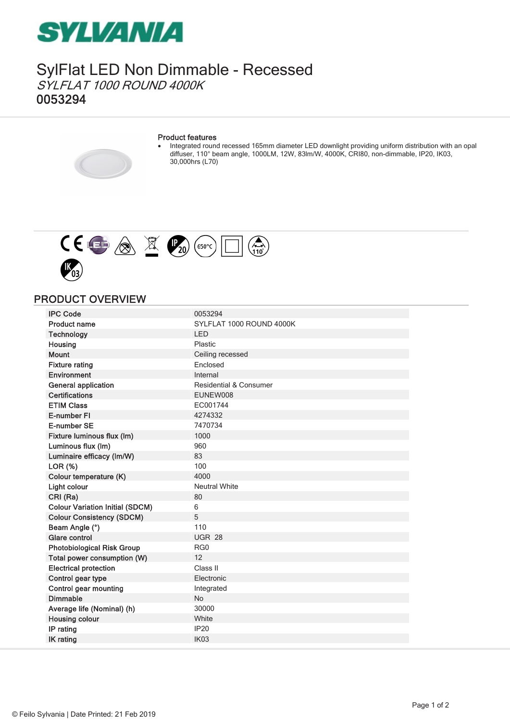

SylFlat LED Non Dimmable - Recessed SYLFLAT 1000 ROUND 4000K 0053294

#### Product features

· Integrated round recessed 165mm diameter LED downlight providing uniform distribution with an opal diffuser, 110° beam angle, 1000LM, 12W, 83lm/W, 4000K, CRI80, non-dimmable, IP20, IK03, 30,000hrs (L70)



### PRODUCT OVERVIEW

| <b>IPC Code</b>                        | 0053294                  |
|----------------------------------------|--------------------------|
| <b>Product name</b>                    | SYLFLAT 1000 ROUND 4000K |
| <b>Technology</b>                      | <b>LED</b>               |
| Housing                                | Plastic                  |
| <b>Mount</b>                           | Ceiling recessed         |
| <b>Fixture rating</b>                  | Enclosed                 |
| Environment                            | Internal                 |
| <b>General application</b>             | Residential & Consumer   |
| <b>Certifications</b>                  | EUNEW008                 |
| <b>ETIM Class</b>                      | EC001744                 |
| E-number FI                            | 4274332                  |
| E-number SE                            | 7470734                  |
| Fixture luminous flux (lm)             | 1000                     |
| Luminous flux (Im)                     | 960                      |
| Luminaire efficacy (Im/W)              | 83                       |
| LOR (%)                                | 100                      |
| Colour temperature (K)                 | 4000                     |
| Light colour                           | <b>Neutral White</b>     |
| CRI (Ra)                               | 80                       |
| <b>Colour Variation Initial (SDCM)</b> | 6                        |
| <b>Colour Consistency (SDCM)</b>       | 5                        |
| Beam Angle (°)                         | 110                      |
| Glare control                          | <b>UGR 28</b>            |
| <b>Photobiological Risk Group</b>      | RG0                      |
| Total power consumption (W)            | 12                       |
| <b>Electrical protection</b>           | Class II                 |
| Control gear type                      | Electronic               |
| Control gear mounting                  | Integrated               |
| <b>Dimmable</b>                        | <b>No</b>                |
| Average life (Nominal) (h)             | 30000                    |
| <b>Housing colour</b>                  | White                    |
| IP rating                              | <b>IP20</b>              |
| <b>IK</b> rating                       | IK <sub>03</sub>         |